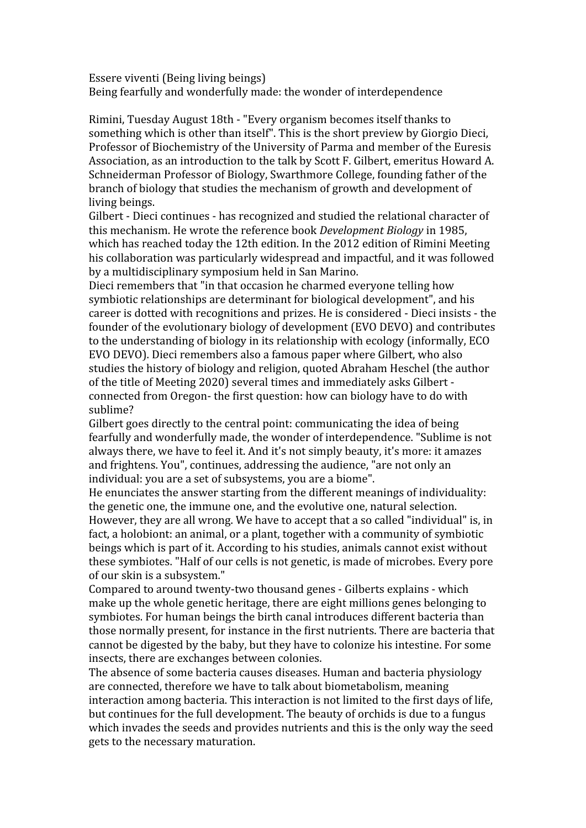Essere viventi (Being living beings) Being fearfully and wonderfully made: the wonder of interdependence

Rimini, Tuesday August 18th - "Every organism becomes itself thanks to something which is other than itself". This is the short preview by Giorgio Dieci, Professor of Biochemistry of the University of Parma and member of the Euresis Association, as an introduction to the talk by Scott F. Gilbert, emeritus Howard A. Schneiderman Professor of Biology, Swarthmore College, founding father of the branch of biology that studies the mechanism of growth and development of living beings.

Gilbert - Dieci continues - has recognized and studied the relational character of this mechanism. He wrote the reference book *Development Biology* in 1985, which has reached today the 12th edition. In the 2012 edition of Rimini Meeting his collaboration was particularly widespread and impactful, and it was followed by a multidisciplinary symposium held in San Marino.

Dieci remembers that "in that occasion he charmed everyone telling how symbiotic relationships are determinant for biological development", and his career is dotted with recognitions and prizes. He is considered - Dieci insists - the founder of the evolutionary biology of development (EVO DEVO) and contributes to the understanding of biology in its relationship with ecology (informally, ECO EVO DEVO). Dieci remembers also a famous paper where Gilbert, who also studies the history of biology and religion, quoted Abraham Heschel (the author of the title of Meeting 2020) several times and immediately asks Gilbert connected from Oregon- the first question: how can biology have to do with sublime?

Gilbert goes directly to the central point: communicating the idea of being fearfully and wonderfully made, the wonder of interdependence. "Sublime is not always there, we have to feel it. And it's not simply beauty, it's more: it amazes and frightens. You", continues, addressing the audience, "are not only an individual: you are a set of subsystems, you are a biome".

He enunciates the answer starting from the different meanings of individuality: the genetic one, the immune one, and the evolutive one, natural selection. However, they are all wrong. We have to accept that a so called "individual" is, in fact, a holobiont: an animal, or a plant, together with a community of symbiotic beings which is part of it. According to his studies, animals cannot exist without these symbiotes. "Half of our cells is not genetic, is made of microbes. Every pore of our skin is a subsystem."

Compared to around twenty-two thousand genes - Gilberts explains - which make up the whole genetic heritage, there are eight millions genes belonging to symbiotes. For human beings the birth canal introduces different bacteria than those normally present, for instance in the first nutrients. There are bacteria that cannot be digested by the baby, but they have to colonize his intestine. For some insects, there are exchanges between colonies.

The absence of some bacteria causes diseases. Human and bacteria physiology are connected, therefore we have to talk about biometabolism, meaning interaction among bacteria. This interaction is not limited to the first days of life, but continues for the full development. The beauty of orchids is due to a fungus which invades the seeds and provides nutrients and this is the only way the seed gets to the necessary maturation.